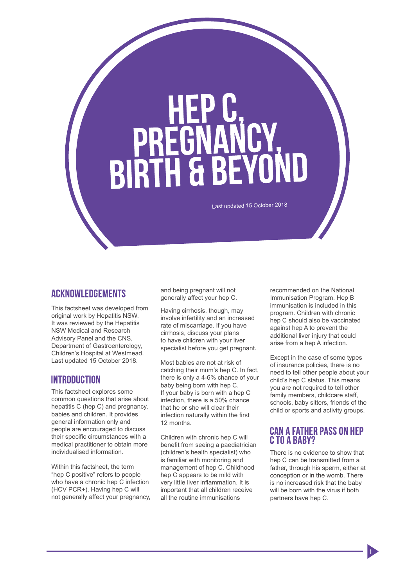# **PREGNANCY<br>BIRTH & BEYOND**

Last updated 15 October 2018

#### **ACKNOWLEDGEMENTS**

This factsheet was developed from original work by Hepatitis NSW. It was reviewed by the Hepatitis NSW Medical and Research Advisory Panel and the CNS, Department of Gastroenterology, Children's Hospital at Westmead. Last updated 15 October 2018.

### **INTRODUCTION**

This factsheet explores some common questions that arise about hepatitis C (hep C) and pregnancy, babies and children. It provides general information only and people are encouraged to discuss their specific circumstances with a medical practitioner to obtain more individualised information.

Within this factsheet, the term "hep C positive" refers to people who have a chronic hep C infection (HCV PCR+). Having hep C will not generally affect your pregnancy, and being pregnant will not generally affect your hep C.

Having cirrhosis, though, may involve infertility and an increased rate of miscarriage. If you have cirrhosis, discuss your plans to have children with your liver specialist before you get pregnant.

Most babies are not at risk of catching their mum's hep C. In fact, there is only a 4-6% chance of your baby being born with hep C. If your baby is born with a hep C infection, there is a 50% chance that he or she will clear their infection naturally within the first 12 months.

Children with chronic hep C will benefit from seeing a paediatrician (children's health specialist) who is familiar with monitoring and management of hep C. Childhood hep C appears to be mild with very little liver inflammation. It is important that all children receive all the routine immunisations

recommended on the National Immunisation Program. Hep B immunisation is included in this program. Children with chronic hep C should also be vaccinated against hep A to prevent the additional liver injury that could arise from a hep A infection.

Except in the case of some types of insurance policies, there is no need to tell other people about your child's hep C status. This means you are not required to tell other family members, childcare staff, schools, baby sitters, friends of the child or sports and activity groups.

#### **CAN A FATHER PASS ON HEP** C. TO A BARY?

There is no evidence to show that hep C can be transmitted from a father, through his sperm, either at conception or in the womb. There is no increased risk that the baby will be born with the virus if both partners have hep C.